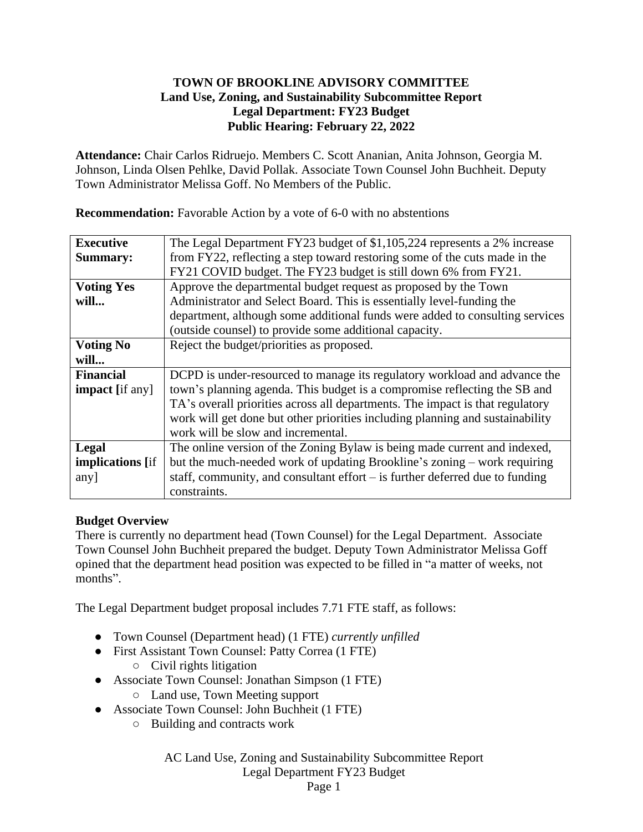### **TOWN OF BROOKLINE ADVISORY COMMITTEE Land Use, Zoning, and Sustainability Subcommittee Report Legal Department: FY23 Budget Public Hearing: February 22, 2022**

**Attendance:** Chair Carlos Ridruejo. Members C. Scott Ananian, Anita Johnson, Georgia M. Johnson, Linda Olsen Pehlke, David Pollak. Associate Town Counsel John Buchheit. Deputy Town Administrator Melissa Goff. No Members of the Public.

**Recommendation:** Favorable Action by a vote of 6-0 with no abstentions

| <b>Executive</b>        | The Legal Department FY23 budget of \$1,105,224 represents a 2% increase       |
|-------------------------|--------------------------------------------------------------------------------|
| <b>Summary:</b>         | from FY22, reflecting a step toward restoring some of the cuts made in the     |
|                         | FY21 COVID budget. The FY23 budget is still down 6% from FY21.                 |
| <b>Voting Yes</b>       | Approve the departmental budget request as proposed by the Town                |
| will                    | Administrator and Select Board. This is essentially level-funding the          |
|                         | department, although some additional funds were added to consulting services   |
|                         | (outside counsel) to provide some additional capacity.                         |
| <b>Voting No</b>        | Reject the budget/priorities as proposed.                                      |
| will                    |                                                                                |
| <b>Financial</b>        | DCPD is under-resourced to manage its regulatory workload and advance the      |
| <b>impact</b> [if any]  | town's planning agenda. This budget is a compromise reflecting the SB and      |
|                         | TA's overall priorities across all departments. The impact is that regulatory  |
|                         | work will get done but other priorities including planning and sustainability  |
|                         | work will be slow and incremental.                                             |
| Legal                   | The online version of the Zoning Bylaw is being made current and indexed,      |
| <b>implications</b> [if | but the much-needed work of updating Brookline's zoning – work requiring       |
| any]                    | staff, community, and consultant effort $-$ is further deferred due to funding |
|                         | constraints.                                                                   |

# **Budget Overview**

There is currently no department head (Town Counsel) for the Legal Department. Associate Town Counsel John Buchheit prepared the budget. Deputy Town Administrator Melissa Goff opined that the department head position was expected to be filled in "a matter of weeks, not months".

The Legal Department budget proposal includes 7.71 FTE staff, as follows:

- Town Counsel (Department head) (1 FTE) *currently unfilled*
- First Assistant Town Counsel: Patty Correa (1 FTE)
	- $\circ$  Civil rights litigation
- Associate Town Counsel: Jonathan Simpson (1 FTE)
	- Land use, Town Meeting support
- Associate Town Counsel: John Buchheit (1 FTE)
	- Building and contracts work

AC Land Use, Zoning and Sustainability Subcommittee Report Legal Department FY23 Budget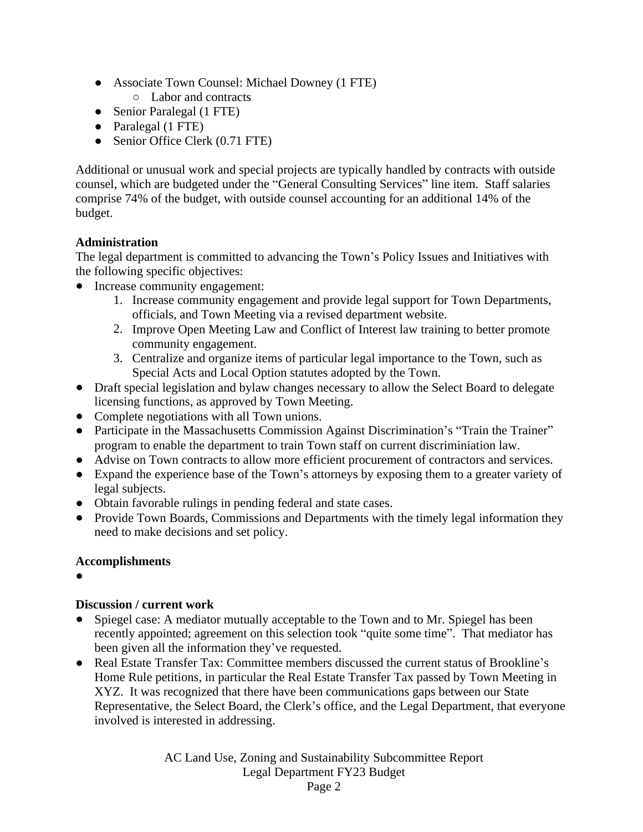- Associate Town Counsel: Michael Downey (1 FTE)
	- Labor and contracts
- Senior Paralegal (1 FTE)
- Paralegal (1 FTE)
- Senior Office Clerk (0.71 FTE)

Additional or unusual work and special projects are typically handled by contracts with outside counsel, which are budgeted under the "General Consulting Services" line item. Staff salaries comprise 74% of the budget, with outside counsel accounting for an additional 14% of the budget.

### **Administration**

The legal department is committed to advancing the Town's Policy Issues and Initiatives with the following specific objectives:

- Increase community engagement:
	- 1. Increase community engagement and provide legal support for Town Departments, officials, and Town Meeting via a revised department website.
	- 2. Improve Open Meeting Law and Conflict of Interest law training to better promote community engagement.
	- 3. Centralize and organize items of particular legal importance to the Town, such as Special Acts and Local Option statutes adopted by the Town.
- Draft special legislation and bylaw changes necessary to allow the Select Board to delegate licensing functions, as approved by Town Meeting.
- Complete negotiations with all Town unions.
- Participate in the Massachusetts Commission Against Discrimination's "Train the Trainer" program to enable the department to train Town staff on current discriminiation law.
- Advise on Town contracts to allow more efficient procurement of contractors and services.
- Expand the experience base of the Town's attorneys by exposing them to a greater variety of legal subjects.
- Obtain favorable rulings in pending federal and state cases.
- Provide Town Boards, Commissions and Departments with the timely legal information they need to make decisions and set policy.

### **Accomplishments**

●

# **Discussion / current work**

- Spiegel case: A mediator mutually acceptable to the Town and to Mr. Spiegel has been recently appointed; agreement on this selection took "quite some time". That mediator has been given all the information they've requested.
- Real Estate Transfer Tax: Committee members discussed the current status of Brookline's Home Rule petitions, in particular the Real Estate Transfer Tax passed by Town Meeting in XYZ. It was recognized that there have been communications gaps between our State Representative, the Select Board, the Clerk's office, and the Legal Department, that everyone involved is interested in addressing.

AC Land Use, Zoning and Sustainability Subcommittee Report Legal Department FY23 Budget